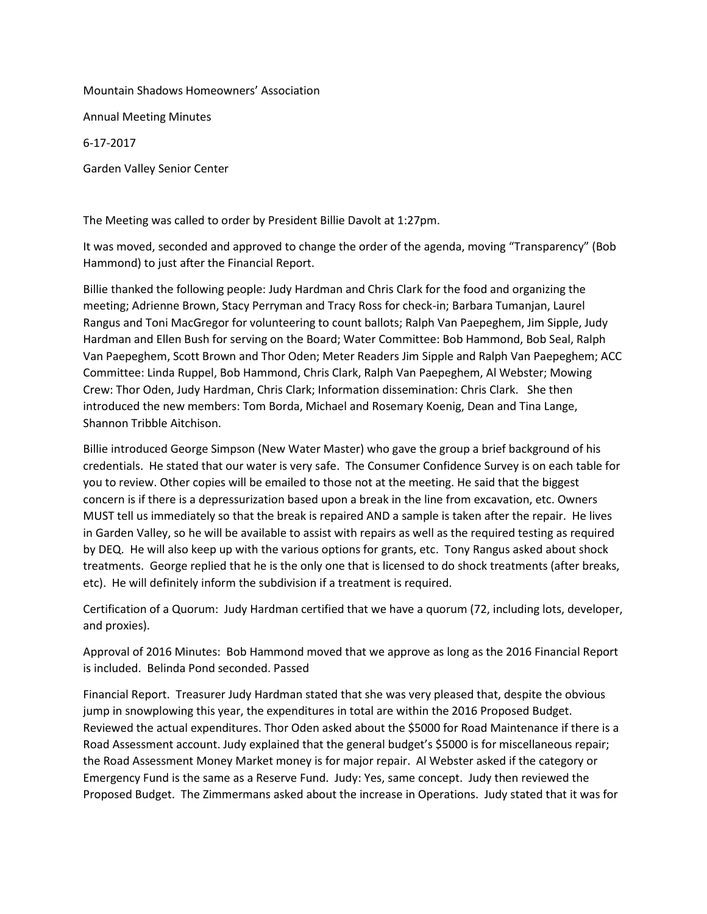## Mountain Shadows Homeowners' Association

Annual Meeting Minutes

6-17-2017

Garden Valley Senior Center

The Meeting was called to order by President Billie Davolt at 1:27pm.

It was moved, seconded and approved to change the order of the agenda, moving "Transparency" (Bob Hammond) to just after the Financial Report.

Billie thanked the following people: Judy Hardman and Chris Clark for the food and organizing the meeting; Adrienne Brown, Stacy Perryman and Tracy Ross for check-in; Barbara Tumanjan, Laurel Rangus and Toni MacGregor for volunteering to count ballots; Ralph Van Paepeghem, Jim Sipple, Judy Hardman and Ellen Bush for serving on the Board; Water Committee: Bob Hammond, Bob Seal, Ralph Van Paepeghem, Scott Brown and Thor Oden; Meter Readers Jim Sipple and Ralph Van Paepeghem; ACC Committee: Linda Ruppel, Bob Hammond, Chris Clark, Ralph Van Paepeghem, Al Webster; Mowing Crew: Thor Oden, Judy Hardman, Chris Clark; Information dissemination: Chris Clark. She then introduced the new members: Tom Borda, Michael and Rosemary Koenig, Dean and Tina Lange, Shannon Tribble Aitchison.

Billie introduced George Simpson (New Water Master) who gave the group a brief background of his credentials. He stated that our water is very safe. The Consumer Confidence Survey is on each table for you to review. Other copies will be emailed to those not at the meeting. He said that the biggest concern is if there is a depressurization based upon a break in the line from excavation, etc. Owners MUST tell us immediately so that the break is repaired AND a sample is taken after the repair. He lives in Garden Valley, so he will be available to assist with repairs as well as the required testing as required by DEQ. He will also keep up with the various options for grants, etc. Tony Rangus asked about shock treatments. George replied that he is the only one that is licensed to do shock treatments (after breaks, etc). He will definitely inform the subdivision if a treatment is required.

Certification of a Quorum: Judy Hardman certified that we have a quorum (72, including lots, developer, and proxies).

Approval of 2016 Minutes: Bob Hammond moved that we approve as long as the 2016 Financial Report is included. Belinda Pond seconded. Passed

Financial Report. Treasurer Judy Hardman stated that she was very pleased that, despite the obvious jump in snowplowing this year, the expenditures in total are within the 2016 Proposed Budget. Reviewed the actual expenditures. Thor Oden asked about the \$5000 for Road Maintenance if there is a Road Assessment account. Judy explained that the general budget's \$5000 is for miscellaneous repair; the Road Assessment Money Market money is for major repair. Al Webster asked if the category or Emergency Fund is the same as a Reserve Fund. Judy: Yes, same concept. Judy then reviewed the Proposed Budget. The Zimmermans asked about the increase in Operations. Judy stated that it was for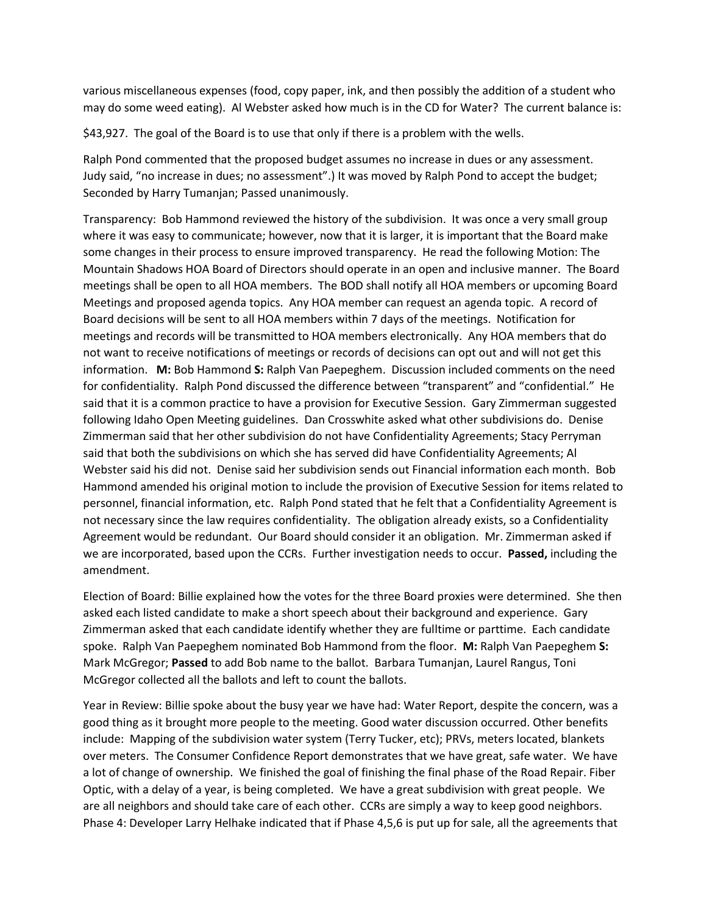various miscellaneous expenses (food, copy paper, ink, and then possibly the addition of a student who may do some weed eating). Al Webster asked how much is in the CD for Water? The current balance is:

\$43,927. The goal of the Board is to use that only if there is a problem with the wells.

Ralph Pond commented that the proposed budget assumes no increase in dues or any assessment. Judy said, "no increase in dues; no assessment".) It was moved by Ralph Pond to accept the budget; Seconded by Harry Tumanjan; Passed unanimously.

Transparency: Bob Hammond reviewed the history of the subdivision. It was once a very small group where it was easy to communicate; however, now that it is larger, it is important that the Board make some changes in their process to ensure improved transparency. He read the following Motion: The Mountain Shadows HOA Board of Directors should operate in an open and inclusive manner. The Board meetings shall be open to all HOA members. The BOD shall notify all HOA members or upcoming Board Meetings and proposed agenda topics. Any HOA member can request an agenda topic. A record of Board decisions will be sent to all HOA members within 7 days of the meetings. Notification for meetings and records will be transmitted to HOA members electronically. Any HOA members that do not want to receive notifications of meetings or records of decisions can opt out and will not get this information. **M:** Bob Hammond **S:** Ralph Van Paepeghem. Discussion included comments on the need for confidentiality. Ralph Pond discussed the difference between "transparent" and "confidential." He said that it is a common practice to have a provision for Executive Session. Gary Zimmerman suggested following Idaho Open Meeting guidelines. Dan Crosswhite asked what other subdivisions do. Denise Zimmerman said that her other subdivision do not have Confidentiality Agreements; Stacy Perryman said that both the subdivisions on which she has served did have Confidentiality Agreements; Al Webster said his did not. Denise said her subdivision sends out Financial information each month. Bob Hammond amended his original motion to include the provision of Executive Session for items related to personnel, financial information, etc. Ralph Pond stated that he felt that a Confidentiality Agreement is not necessary since the law requires confidentiality. The obligation already exists, so a Confidentiality Agreement would be redundant. Our Board should consider it an obligation. Mr. Zimmerman asked if we are incorporated, based upon the CCRs. Further investigation needs to occur. **Passed,** including the amendment.

Election of Board: Billie explained how the votes for the three Board proxies were determined. She then asked each listed candidate to make a short speech about their background and experience. Gary Zimmerman asked that each candidate identify whether they are fulltime or parttime. Each candidate spoke. Ralph Van Paepeghem nominated Bob Hammond from the floor. **M:** Ralph Van Paepeghem **S:**  Mark McGregor; **Passed** to add Bob name to the ballot. Barbara Tumanjan, Laurel Rangus, Toni McGregor collected all the ballots and left to count the ballots.

Year in Review: Billie spoke about the busy year we have had: Water Report, despite the concern, was a good thing as it brought more people to the meeting. Good water discussion occurred. Other benefits include: Mapping of the subdivision water system (Terry Tucker, etc); PRVs, meters located, blankets over meters. The Consumer Confidence Report demonstrates that we have great, safe water. We have a lot of change of ownership. We finished the goal of finishing the final phase of the Road Repair. Fiber Optic, with a delay of a year, is being completed. We have a great subdivision with great people. We are all neighbors and should take care of each other. CCRs are simply a way to keep good neighbors. Phase 4: Developer Larry Helhake indicated that if Phase 4,5,6 is put up for sale, all the agreements that